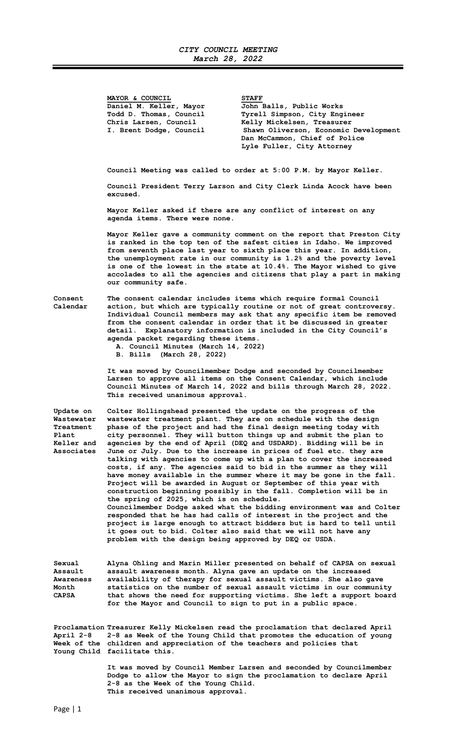## CITY COUNCIL MEETING March 28, 2022

|                                                                           | MAYOR & COUNCIL<br>Daniel M. Keller, Mayor<br>Todd D. Thomas, Council<br>Chris Larsen, Council<br>I. Brent Dodge, Council                                                                                                                                                                                                                                                                                                                                               | <b>STAFF</b><br>John Balls, Public Works<br>Tyrell Simpson, City Engineer<br>Kelly Mickelsen, Treasurer<br>Shawn Oliverson, Economic Development<br>Dan McCammon, Chief of Police<br>Lyle Fuller, City Attorney                                                                                                                                                                                                                                                                                                                                                                                                                                                                                                                                                                                                                                                                                                                                                                                                                                                                |
|---------------------------------------------------------------------------|-------------------------------------------------------------------------------------------------------------------------------------------------------------------------------------------------------------------------------------------------------------------------------------------------------------------------------------------------------------------------------------------------------------------------------------------------------------------------|--------------------------------------------------------------------------------------------------------------------------------------------------------------------------------------------------------------------------------------------------------------------------------------------------------------------------------------------------------------------------------------------------------------------------------------------------------------------------------------------------------------------------------------------------------------------------------------------------------------------------------------------------------------------------------------------------------------------------------------------------------------------------------------------------------------------------------------------------------------------------------------------------------------------------------------------------------------------------------------------------------------------------------------------------------------------------------|
|                                                                           | Council Meeting was called to order at 5:00 P.M. by Mayor Keller.<br>Council President Terry Larson and City Clerk Linda Acock have been                                                                                                                                                                                                                                                                                                                                |                                                                                                                                                                                                                                                                                                                                                                                                                                                                                                                                                                                                                                                                                                                                                                                                                                                                                                                                                                                                                                                                                |
|                                                                           | excused.<br>Mayor Keller asked if there are any conflict of interest on any<br>agenda items. There were none.                                                                                                                                                                                                                                                                                                                                                           |                                                                                                                                                                                                                                                                                                                                                                                                                                                                                                                                                                                                                                                                                                                                                                                                                                                                                                                                                                                                                                                                                |
|                                                                           | Mayor Keller gave a community comment on the report that Preston City<br>is ranked in the top ten of the safest cities in Idaho. We improved<br>from seventh place last year to sixth place this year. In addition,<br>the unemployment rate in our community is 1.2% and the poverty level<br>is one of the lowest in the state at 10.4%. The Mayor wished to give<br>accolades to all the agencies and citizens that play a part in making<br>our community safe.     |                                                                                                                                                                                                                                                                                                                                                                                                                                                                                                                                                                                                                                                                                                                                                                                                                                                                                                                                                                                                                                                                                |
| Consent<br>Calendar                                                       | The consent calendar includes items which require formal Council<br>action, but which are typically routine or not of great controversy.<br>Individual Council members may ask that any specific item be removed<br>from the consent calendar in order that it be discussed in greater<br>detail. Explanatory information is included in the City Council's<br>agenda packet regarding these items.<br>A. Council Minutes (March 14, 2022)<br>B. Bills (March 28, 2022) |                                                                                                                                                                                                                                                                                                                                                                                                                                                                                                                                                                                                                                                                                                                                                                                                                                                                                                                                                                                                                                                                                |
|                                                                           | This received unanimous approval.                                                                                                                                                                                                                                                                                                                                                                                                                                       | It was moved by Councilmember Dodge and seconded by Councilmember<br>Larsen to approve all items on the Consent Calendar, which include<br>Council Minutes of March 14, 2022 and bills through March 28, 2022.                                                                                                                                                                                                                                                                                                                                                                                                                                                                                                                                                                                                                                                                                                                                                                                                                                                                 |
| Update on<br>Wastewater<br>Treatment<br>Plant<br>Keller and<br>Associates | the spring of 2025, which is on schedule.<br>problem with the design being approved by DEQ or USDA.                                                                                                                                                                                                                                                                                                                                                                     | Colter Hollingshead presented the update on the progress of the<br>wastewater treatment plant. They are on schedule with the design<br>phase of the project and had the final design meeting today with<br>city personnel. They will button things up and submit the plan to<br>agencies by the end of April (DEQ and USDARD). Bidding will be in<br>June or July. Due to the increase in prices of fuel etc. they are<br>talking with agencies to come up with a plan to cover the increased<br>costs, if any. The agencies said to bid in the summer as they will<br>have money available in the summer where it may be gone in the fall.<br>Project will be awarded in August or September of this year with<br>construction beginning possibly in the fall. Completion will be in<br>Councilmember Dodge asked what the bidding environment was and Colter<br>responded that he has had calls of interest in the project and the<br>project is large enough to attract bidders but is hard to tell until<br>it goes out to bid. Colter also said that we will not have any |
| Sexual<br>Assault<br>Awareness<br>Month<br><b>CAPSA</b>                   | for the Mayor and Council to sign to put in a public space.                                                                                                                                                                                                                                                                                                                                                                                                             | Alyna Ohling and Marin Miller presented on behalf of CAPSA on sexual<br>assault awareness month. Alyna gave an update on the increased<br>availability of therapy for sexual assault victims. She also gave<br>statistics on the number of sexual assault victims in our community<br>that shows the need for supporting victims. She left a support board                                                                                                                                                                                                                                                                                                                                                                                                                                                                                                                                                                                                                                                                                                                     |
| April 2-8                                                                 | Week of the children and appreciation of the teachers and policies that<br>Young Child facilitate this.                                                                                                                                                                                                                                                                                                                                                                 | Proclamation Treasurer Kelly Mickelsen read the proclamation that declared April<br>2-8 as Week of the Young Child that promotes the education of young                                                                                                                                                                                                                                                                                                                                                                                                                                                                                                                                                                                                                                                                                                                                                                                                                                                                                                                        |

 It was moved by Council Member Larsen and seconded by Councilmember Dodge to allow the Mayor to sign the proclamation to declare April 2-8 as the Week of the Young Child. This received unanimous approval.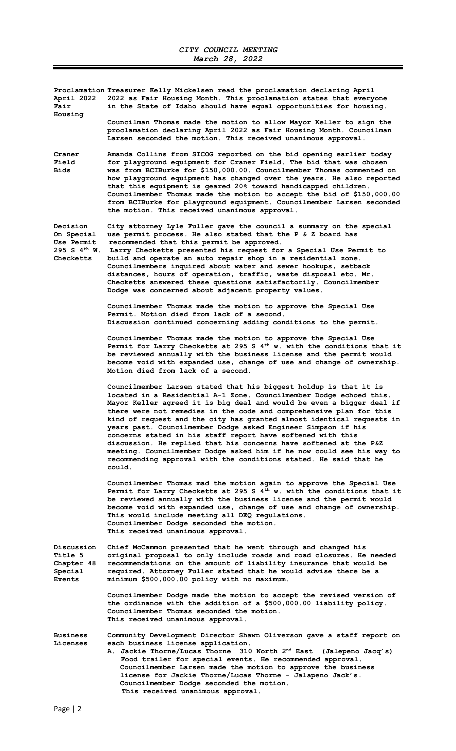| April 2022<br>Fair<br>Housing                                                          | Proclamation Treasurer Kelly Mickelsen read the proclamation declaring April<br>2022 as Fair Housing Month. This proclamation states that everyone<br>in the State of Idaho should have equal opportunities for housing.                                                                                                                                                                                                                                                                                                                                                                                                                                                                                                       |  |
|----------------------------------------------------------------------------------------|--------------------------------------------------------------------------------------------------------------------------------------------------------------------------------------------------------------------------------------------------------------------------------------------------------------------------------------------------------------------------------------------------------------------------------------------------------------------------------------------------------------------------------------------------------------------------------------------------------------------------------------------------------------------------------------------------------------------------------|--|
|                                                                                        | Councilman Thomas made the motion to allow Mayor Keller to sign the<br>proclamation declaring April 2022 as Fair Housing Month. Councilman<br>Larsen seconded the motion. This received unanimous approval.                                                                                                                                                                                                                                                                                                                                                                                                                                                                                                                    |  |
| Craner<br>Field<br>Bids                                                                | Amanda Collins from SICOG reported on the bid opening earlier today<br>for playground equipment for Craner Field. The bid that was chosen<br>was from BCIBurke for \$150,000.00. Councilmember Thomas commented on<br>how playground equipment has changed over the years. He also reported<br>that this equipment is geared 20% toward handicapped children.<br>Councilmember Thomas made the motion to accept the bid of \$150,000.00<br>from BCIBurke for playground equipment. Councilmember Larsen seconded<br>the motion. This received unanimous approval.                                                                                                                                                              |  |
| Decision<br>On Special<br><b>Use Permit</b><br>$295 S 4$ <sup>th</sup> W.<br>Checketts | City attorney Lyle Fuller gave the council a summary on the special<br>use permit process. He also stated that the P & Z board has<br>recommended that this permit be approved.<br>Larry Checketts presented his request for a Special Use Permit to<br>build and operate an auto repair shop in a residential zone.<br>Councilmembers inquired about water and sewer hookups, setback<br>distances, hours of operation, traffic, waste disposal etc. Mr.<br>Checketts answered these questions satisfactorily. Councilmember<br>Dodge was concerned about adjacent property values.                                                                                                                                           |  |
|                                                                                        | Councilmember Thomas made the motion to approve the Special Use<br>Permit. Motion died from lack of a second.<br>Discussion continued concerning adding conditions to the permit.                                                                                                                                                                                                                                                                                                                                                                                                                                                                                                                                              |  |
|                                                                                        | Councilmember Thomas made the motion to approve the Special Use<br>Permit for Larry Checketts at 295 S $4^{th}$ w. with the conditions that it<br>be reviewed annually with the business license and the permit would<br>become void with expanded use, change of use and change of ownership.<br>Motion died from lack of a second.                                                                                                                                                                                                                                                                                                                                                                                           |  |
|                                                                                        | Councilmember Larsen stated that his biggest holdup is that it is<br>located in a Residential A-1 Zone. Councilmember Dodge echoed this.<br>Mayor Keller agreed it is big deal and would be even a bigger deal if<br>there were not remedies in the code and comprehensive plan for this<br>kind of request and the city has granted almost identical requests in<br>years past. Councilmember Dodge asked Engineer Simpson if his<br>concerns stated in his staff report have softened with this<br>discussion. He replied that his concerns have softened at the P&Z<br>meeting. Councilmember Dodge asked him if he now could see his way to<br>recommending approval with the conditions stated. He said that he<br>could. |  |
|                                                                                        | Councilmember Thomas mad the motion again to approve the Special Use<br>Permit for Larry Checketts at 295 S $4^{th}$ w. with the conditions that it<br>be reviewed annually with the business license and the permit would<br>become void with expanded use, change of use and change of ownership.<br>This would include meeting all DEQ regulations.<br>Councilmember Dodge seconded the motion.<br>This received unanimous approval.                                                                                                                                                                                                                                                                                        |  |
| Discussion<br><b>Title 5</b><br>Chapter 48<br>Special<br><b>Events</b>                 | Chief McCammon presented that he went through and changed his<br>original proposal to only include roads and road closures. He needed<br>recommendations on the amount of liability insurance that would be<br>required. Attorney Fuller stated that he would advise there be a<br>minimum \$500,000.00 policy with no maximum.                                                                                                                                                                                                                                                                                                                                                                                                |  |
|                                                                                        | Councilmember Dodge made the motion to accept the revised version of<br>the ordinance with the addition of a \$500,000.00 liability policy.<br>Councilmember Thomas seconded the motion.<br>This received unanimous approval.                                                                                                                                                                                                                                                                                                                                                                                                                                                                                                  |  |
| <b>Business</b><br>Licenses                                                            | Community Development Director Shawn Oliverson gave a staff report on<br>each business license application.<br>A. Jackie Thorne/Lucas Thorne 310 North 2 <sup>nd</sup> East<br>(Jalepeno Jacq's)<br>Food trailer for special events. He recommended approval.<br>Councilmember Larsen made the motion to approve the business<br>license for Jackie Thorne/Lucas Thorne - Jalapeno Jack's.<br>Councilmember Dodge seconded the motion.<br>This received unanimous approval.                                                                                                                                                                                                                                                    |  |